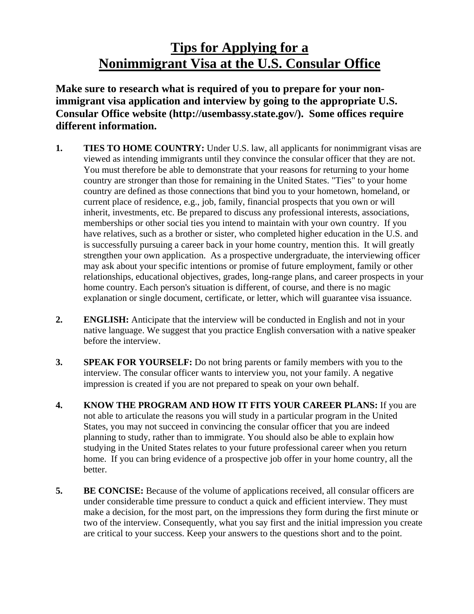## **Tips for Applying for a Nonimmigrant Visa at the U.S. Consular Office**

**Make sure to research what is required of you to prepare for your nonimmigrant visa application and interview by going to the appropriate U.S. Consular Office website (http://usembassy.state.gov/). Some offices require different information.** 

- **1. TIES TO HOME COUNTRY:** Under U.S. law, all applicants for nonimmigrant visas are viewed as intending immigrants until they convince the consular officer that they are not. You must therefore be able to demonstrate that your reasons for returning to your home country are stronger than those for remaining in the United States. "Ties" to your home country are defined as those connections that bind you to your hometown, homeland, or current place of residence, e.g., job, family, financial prospects that you own or will inherit, investments, etc. Be prepared to discuss any professional interests, associations, memberships or other social ties you intend to maintain with your own country. If you have relatives, such as a brother or sister, who completed higher education in the U.S. and is successfully pursuing a career back in your home country, mention this. It will greatly strengthen your own application. As a prospective undergraduate, the interviewing officer may ask about your specific intentions or promise of future employment, family or other relationships, educational objectives, grades, long-range plans, and career prospects in your home country. Each person's situation is different, of course, and there is no magic explanation or single document, certificate, or letter, which will guarantee visa issuance.
- **2. ENGLISH:** Anticipate that the interview will be conducted in English and not in your native language. We suggest that you practice English conversation with a native speaker before the interview.
- **3. SPEAK FOR YOURSELF:** Do not bring parents or family members with you to the interview. The consular officer wants to interview you, not your family. A negative impression is created if you are not prepared to speak on your own behalf.
- **4. KNOW THE PROGRAM AND HOW IT FITS YOUR CAREER PLANS:** If you are not able to articulate the reasons you will study in a particular program in the United States, you may not succeed in convincing the consular officer that you are indeed planning to study, rather than to immigrate. You should also be able to explain how studying in the United States relates to your future professional career when you return home. If you can bring evidence of a prospective job offer in your home country, all the better.
- **5. BE CONCISE:** Because of the volume of applications received, all consular officers are under considerable time pressure to conduct a quick and efficient interview. They must make a decision, for the most part, on the impressions they form during the first minute or two of the interview. Consequently, what you say first and the initial impression you create are critical to your success. Keep your answers to the questions short and to the point.